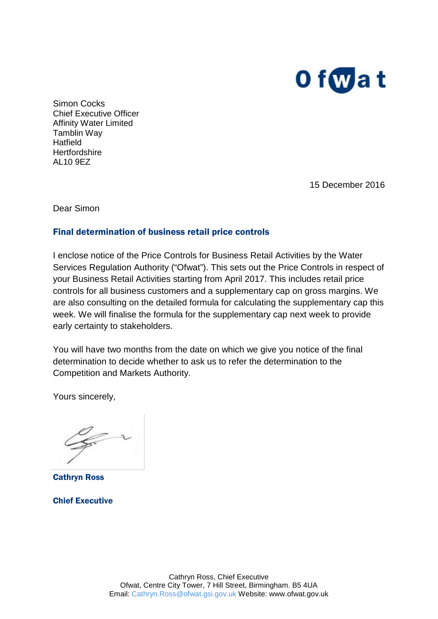

Simon Cocks Chief Executive Officer Affinity Water Limited Tamblin Way **Hatfield Hertfordshire** AL10 9EZ

15 December 2016

Dear Simon

#### Final determination of business retail price controls

I enclose notice of the Price Controls for Business Retail Activities by the Water Services Regulation Authority ("Ofwat"). This sets out the Price Controls in respect of your Business Retail Activities starting from April 2017. This includes retail price controls for all business customers and a supplementary cap on gross margins. We are also consulting on the detailed formula for calculating the supplementary cap this week. We will finalise the formula for the supplementary cap next week to provide early certainty to stakeholders.

You will have two months from the date on which we give you notice of the final determination to decide whether to ask us to refer the determination to the Competition and Markets Authority.

Yours sincerely,

Cathryn Ross

Chief Executive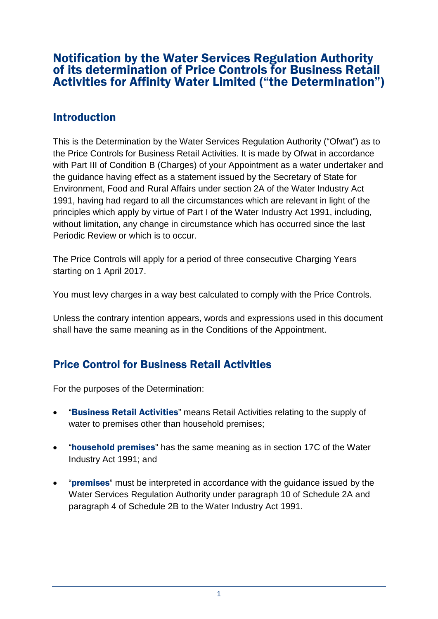## Notification by the Water Services Regulation Authority of its determination of Price Controls for Business Retail Activities for Affinity Water Limited ("the Determination")

## **Introduction**

This is the Determination by the Water Services Regulation Authority ("Ofwat") as to the Price Controls for Business Retail Activities. It is made by Ofwat in accordance with Part III of Condition B (Charges) of your Appointment as a water undertaker and the guidance having effect as a statement issued by the Secretary of State for Environment, Food and Rural Affairs under section 2A of the Water Industry Act 1991, having had regard to all the circumstances which are relevant in light of the principles which apply by virtue of Part I of the Water Industry Act 1991, including, without limitation, any change in circumstance which has occurred since the last Periodic Review or which is to occur.

The Price Controls will apply for a period of three consecutive Charging Years starting on 1 April 2017.

You must levy charges in a way best calculated to comply with the Price Controls.

Unless the contrary intention appears, words and expressions used in this document shall have the same meaning as in the Conditions of the Appointment.

# Price Control for Business Retail Activities

For the purposes of the Determination:

- **"Business Retail Activities"** means Retail Activities relating to the supply of water to premises other than household premises;
- "household premises" has the same meaning as in section 17C of the Water Industry Act 1991; and
- **"premises"** must be interpreted in accordance with the quidance issued by the Water Services Regulation Authority under paragraph 10 of Schedule 2A and paragraph 4 of Schedule 2B to the Water Industry Act 1991.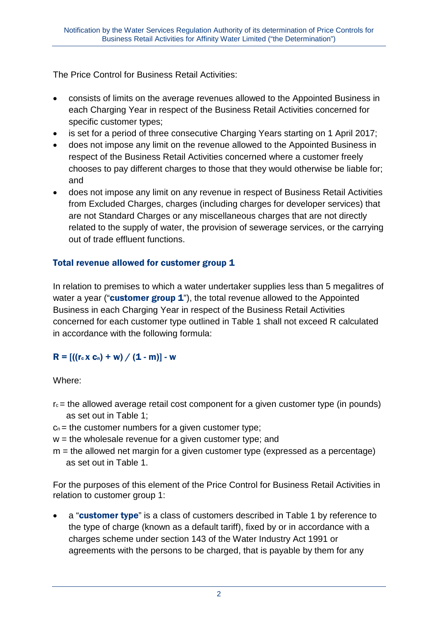The Price Control for Business Retail Activities:

- consists of limits on the average revenues allowed to the Appointed Business in each Charging Year in respect of the Business Retail Activities concerned for specific customer types;
- is set for a period of three consecutive Charging Years starting on 1 April 2017:
- does not impose any limit on the revenue allowed to the Appointed Business in respect of the Business Retail Activities concerned where a customer freely chooses to pay different charges to those that they would otherwise be liable for; and
- does not impose any limit on any revenue in respect of Business Retail Activities from Excluded Charges, charges (including charges for developer services) that are not Standard Charges or any miscellaneous charges that are not directly related to the supply of water, the provision of sewerage services, or the carrying out of trade effluent functions.

#### Total revenue allowed for customer group 1

In relation to premises to which a water undertaker supplies less than 5 megalitres of water a year ("customer group  $1$ "), the total revenue allowed to the Appointed Business in each Charging Year in respect of the Business Retail Activities concerned for each customer type outlined in Table 1 shall not exceed R calculated in accordance with the following formula:

### $R = \left[ \left( (r_c \times c_n) + w \right) / (1 - m) \right] - w$

Where:

- $r_c$  = the allowed average retail cost component for a given customer type (in pounds) as set out in Table 1;
- $c_n$  = the customer numbers for a given customer type;
- $w =$  the wholesale revenue for a given customer type; and
- $m =$  the allowed net margin for a given customer type (expressed as a percentage) as set out in Table 1.

For the purposes of this element of the Price Control for Business Retail Activities in relation to customer group 1:

a "customer type" is a class of customers described in Table 1 by reference to the type of charge (known as a default tariff), fixed by or in accordance with a charges scheme under section 143 of the Water Industry Act 1991 or agreements with the persons to be charged, that is payable by them for any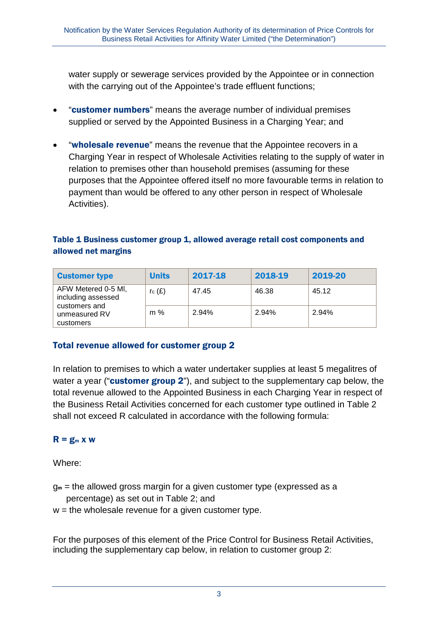water supply or sewerage services provided by the Appointee or in connection with the carrying out of the Appointee's trade effluent functions;

- "customer numbers" means the average number of individual premises supplied or served by the Appointed Business in a Charging Year; and
- "wholesale revenue" means the revenue that the Appointee recovers in a Charging Year in respect of Wholesale Activities relating to the supply of water in relation to premises other than household premises (assuming for these purposes that the Appointee offered itself no more favourable terms in relation to payment than would be offered to any other person in respect of Wholesale Activities).

#### Table 1 Business customer group 1, allowed average retail cost components and allowed net margins

| <b>Customer type</b>                                                                     | <b>Units</b> | 2017-18 | 2018-19 | 2019-20 |
|------------------------------------------------------------------------------------------|--------------|---------|---------|---------|
| AFW Metered 0-5 MI,<br>including assessed<br>customers and<br>unmeasured RV<br>customers | $r_c(E)$     | 47.45   | 46.38   | 45.12   |
|                                                                                          | m %          | 2.94%   | 2.94%   | 2.94%   |

#### Total revenue allowed for customer group 2

In relation to premises to which a water undertaker supplies at least 5 megalitres of water a year ("customer group 2"), and subject to the supplementary cap below, the total revenue allowed to the Appointed Business in each Charging Year in respect of the Business Retail Activities concerned for each customer type outlined in Table 2 shall not exceed R calculated in accordance with the following formula:

#### $R = g_m x w$

Where:

- $g_m$  = the allowed gross margin for a given customer type (expressed as a percentage) as set out in Table 2; and
- $w =$  the wholesale revenue for a given customer type.

For the purposes of this element of the Price Control for Business Retail Activities, including the supplementary cap below, in relation to customer group 2: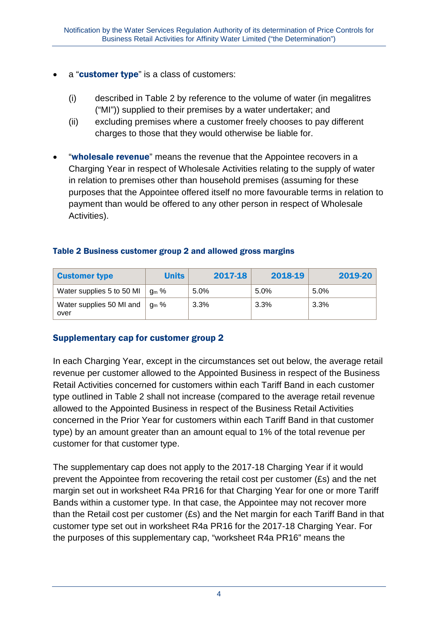- a "customer type" is a class of customers:
	- (i) described in Table 2 by reference to the volume of water (in megalitres ("MI")) supplied to their premises by a water undertaker; and
	- (ii) excluding premises where a customer freely chooses to pay different charges to those that they would otherwise be liable for.
- "wholesale revenue" means the revenue that the Appointee recovers in a Charging Year in respect of Wholesale Activities relating to the supply of water in relation to premises other than household premises (assuming for these purposes that the Appointee offered itself no more favourable terms in relation to payment than would be offered to any other person in respect of Wholesale Activities).

| Table 2 Business customer group 2 and allowed gross margins |  |  |
|-------------------------------------------------------------|--|--|
|                                                             |  |  |

| <b>Customer type</b>                                     | <b>Units</b>     | 2017-18 | 2018-19 | 2019-20 |
|----------------------------------------------------------|------------------|---------|---------|---------|
| Water supplies 5 to 50 MI $\vert$                        | $^{\prime}$ am % | 5.0%    | 5.0%    | $5.0\%$ |
| Water supplies 50 MI and $\mid$ g <sub>m</sub> %<br>over |                  | $3.3\%$ | $3.3\%$ | 3.3%    |

#### Supplementary cap for customer group 2

In each Charging Year, except in the circumstances set out below, the average retail revenue per customer allowed to the Appointed Business in respect of the Business Retail Activities concerned for customers within each Tariff Band in each customer type outlined in Table 2 shall not increase (compared to the average retail revenue allowed to the Appointed Business in respect of the Business Retail Activities concerned in the Prior Year for customers within each Tariff Band in that customer type) by an amount greater than an amount equal to 1% of the total revenue per customer for that customer type.

The supplementary cap does not apply to the 2017-18 Charging Year if it would prevent the Appointee from recovering the retail cost per customer (£s) and the net margin set out in worksheet R4a PR16 for that Charging Year for one or more Tariff Bands within a customer type. In that case, the Appointee may not recover more than the Retail cost per customer (£s) and the Net margin for each Tariff Band in that customer type set out in worksheet R4a PR16 for the 2017-18 Charging Year. For the purposes of this supplementary cap, "worksheet R4a PR16" means the